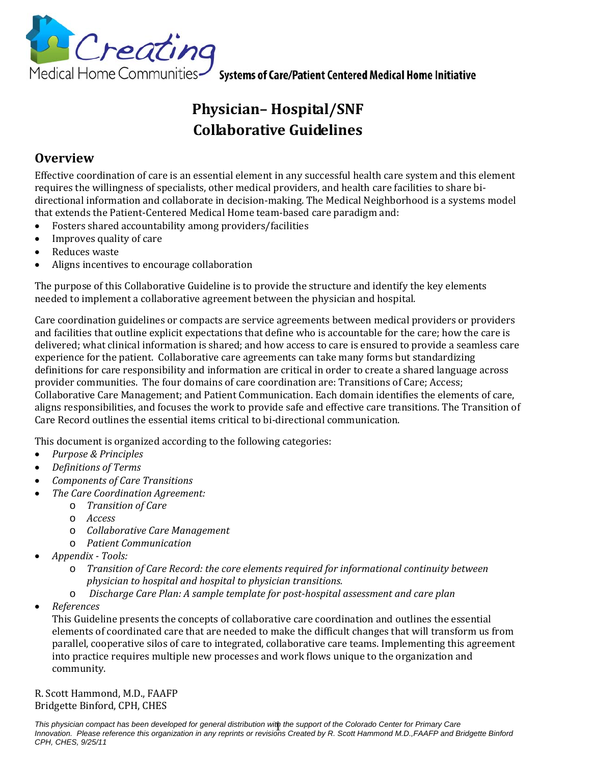

# **Physician– Hospital/SNF Collaborative Guidelines**

### **Overview**

Effective coordination of care is an essential element in any successful health care system and this element requires the willingness of specialists, other medical providers, and health care facilities to share bi‐ directional information and collaborate in decision-making. The Medical Neighborhood is a systems model that extends the Patient‐Centered Medical Home team‐based care paradigm and:

- Fosters shared accountability among providers/facilities
- Improves quality of care
- Reduces waste
- Aligns incentives to encourage collaboration

The purpose of this Collaborative Guideline is to provide the structure and identify the key elements needed to implement a collaborative agreement between the physician and hospital.

Care coordination guidelines or compacts are service agreements between medical providers or providers and facilities that outline explicit expectations that define who is accountable for the care; how the care is delivered; what clinical information is shared; and how access to care is ensured to provide a seamless care experience for the patient. Collaborative care agreements can take many forms but standardizing definitions for care responsibility and information are critical in order to create a shared language across provider communities. The four domains of care coordination are: Transitions of Care; Access; Collaborative Care Management; and Patient Communication. Each domain identifies the elements of care, aligns responsibilities, and focuses the work to provide safe and effective care transitions. The Transition of Care Record outlines the essential items critical to bi‐directional communication.

This document is organized according to the following categories:

- *Purpose & Principles*
- *Definitions of Terms*
- *Components of Care Transitions*
- *The Care Coordination Agreement:*
	- o *Transition of Care*
	- o *Access*
	- o *Collaborative Care Management*
	- o *Patient Communication*
- *Appendix Tools:*
	- o *Transition of Care Record: the core elements required for informational continuity between physician to hospital and hospital to physician transitions.*
	- o *Discharge Care Plan: A sample template for posthospital assessment and care plan*
- *References*

This Guideline presents the concepts of collaborative care coordination and outlines the essential elements of coordinated care that are needed to make the difficult changes that will transform us from parallel, cooperative silos of care to integrated, collaborative care teams. Implementing this agreement into practice requires multiple new processes and work flows unique to the organization and community.

R. Scott Hammond, M.D., FAAFP Bridgette Binford, CPH, CHES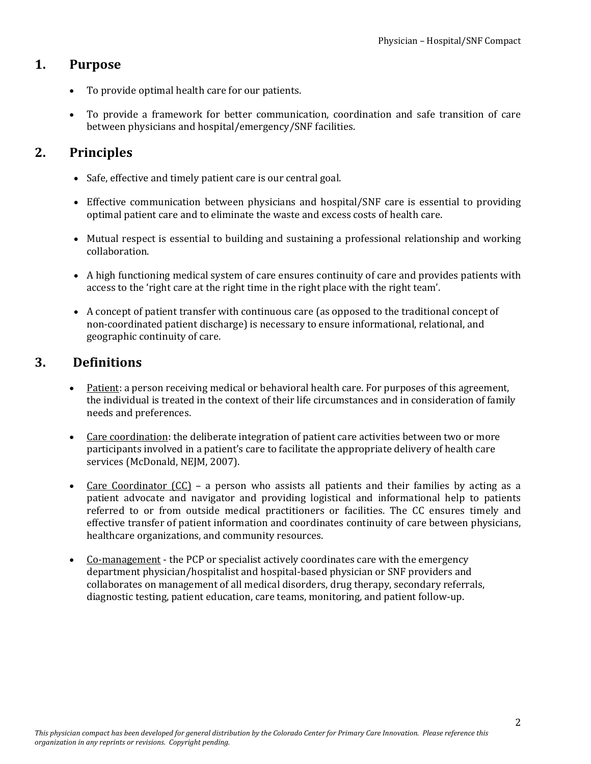### **1. Purpose**

- To provide optimal health care for our patients.
- To provide a framework for better communication, coordination and safe transition of care between physicians and hospital/emergency/SNF facilities.

### **2. Principles**

- Safe, effective and timely patient care is our central goal.
- Effective communication between physicians and hospital/SNF care is essential to providing optimal patient care and to eliminate the waste and excess costs of health care.
- Mutual respect is essential to building and sustaining a professional relationship and working collaboration.
- A high functioning medical system of care ensures continuity of care and provides patients with access to the 'right care at the right time in the right place with the right team'.
- A concept of patient transfer with continuous care (as opposed to the traditional concept of non‐coordinated patient discharge) is necessary to ensure informational, relational, and geographic continuity of care.

### **3. Definitions**

- Patient: a person receiving medical or behavioral health care. For purposes of this agreement, the individual is treated in the context of their life circumstances and in consideration of family needs and preferences.
- Care coordination: the deliberate integration of patient care activities between two or more participants involved in a patient's care to facilitate the appropriate delivery of health care services (McDonald, NEJM, 2007).
- Care Coordinator  $(CC)$  a person who assists all patients and their families by acting as a patient advocate and navigator and providing logistical and informational help to patients referred to or from outside medical practitioners or facilities. The CC ensures timely and effective transfer of patient information and coordinates continuity of care between physicians, healthcare organizations, and community resources.
- Co-management the PCP or specialist actively coordinates care with the emergency department physician/hospitalist and hospital‐based physician or SNF providers and collaborates on management of all medical disorders, drug therapy, secondary referrals, diagnostic testing, patient education, care teams, monitoring, and patient follow‐up.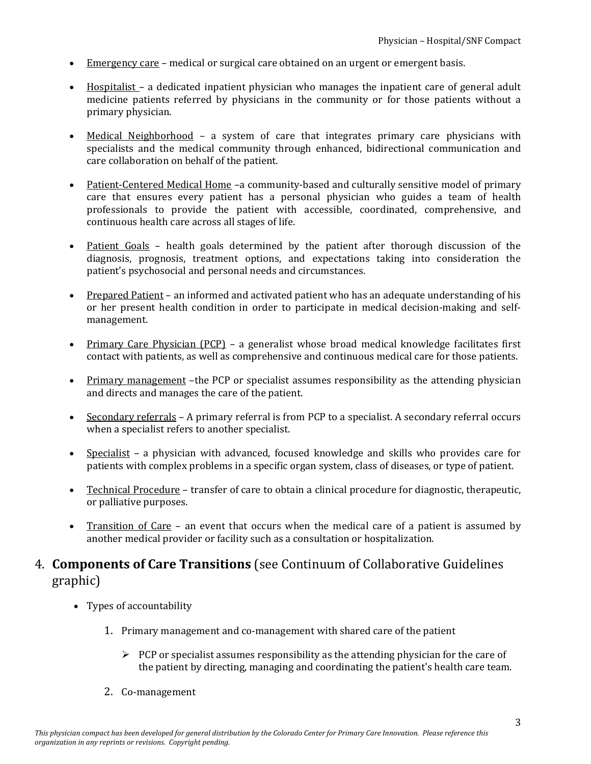- Emergency care medical or surgical care obtained on an urgent or emergent basis.
- Hospitalist a dedicated inpatient physician who manages the inpatient care of general adult medicine patients referred by physicians in the community or for those patients without a primary physician.
- Medical Neighborhood a system of care that integrates primary care physicians with specialists and the medical community through enhanced, bidirectional communication and care collaboration on behalf of the patient.
- Patient-Centered Medical Home –a community-based and culturally sensitive model of primary care that ensures every patient has a personal physician who guides a team of health professionals to provide the patient with accessible, coordinated, comprehensive, and continuous health care across all stages of life.
- Patient Goals health goals determined by the patient after thorough discussion of the diagnosis, prognosis, treatment options, and expectations taking into consideration the patient's psychosocial and personal needs and circumstances.
- Prepared Patient an informed and activated patient who has an adequate understanding of his or her present health condition in order to participate in medical decision-making and selfmanagement.
- Primary Care Physician (PCP) a generalist whose broad medical knowledge facilitates first contact with patients, as well as comprehensive and continuous medical care for those patients.
- Primary management the PCP or specialist assumes responsibility as the attending physician and directs and manages the care of the patient.
- Secondary referrals A primary referral is from PCP to a specialist. A secondary referral occurs when a specialist refers to another specialist.
- Specialist a physician with advanced, focused knowledge and skills who provides care for patients with complex problems in a specific organ system, class of diseases, or type of patient.
- Technical Procedure transfer of care to obtain a clinical procedure for diagnostic, therapeutic, or palliative purposes.
- Transition of Care an event that occurs when the medical care of a patient is assumed by another medical provider or facility such as a consultation or hospitalization.

### 4. **Components of Care Transitions** (see Continuum of Collaborative Guidelines graphic)

- Types of accountability
	- 1. Primary management and co-management with shared care of the patient
		- $\triangleright$  PCP or specialist assumes responsibility as the attending physician for the care of the patient by directing, managing and coordinating the patient's health care team.
	- 2. Co‐management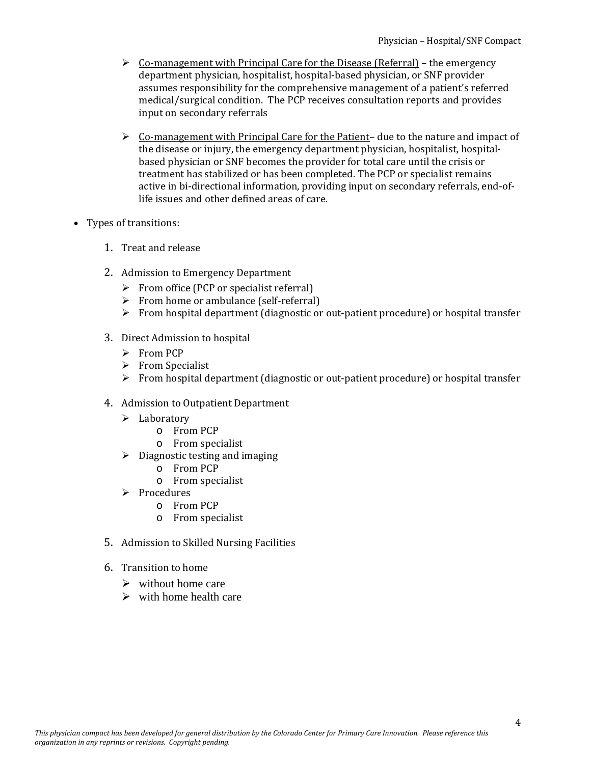- $\triangleright$  Co-management with Principal Care for the Disease (Referral) the emergency department physician, hospitalist, hospital‐based physician, or SNF provider assumes responsibility for the comprehensive management of a patient's referred medical/surgical condition. The PCP receives consultation reports and provides input on secondary referrals
- $\triangleright$  Co-management with Principal Care for the Patient– due to the nature and impact of the disease or injury, the emergency department physician, hospitalist, hospital‐ based physician or SNF becomes the provider for total care until the crisis or treatment has stabilized or has been completed. The PCP or specialist remains active in bi-directional information, providing input on secondary referrals, end-oflife issues and other defined areas of care.
- Types of transitions:
	- 1. Treat and release
	- 2. Admission to Emergency Department
		- $\triangleright$  From office (PCP or specialist referral)
		- ¾ From home or ambulance (self‐referral)
		- ¾ From hospital department (diagnostic or out‐patient procedure) or hospital transfer
	- 3. Direct Admission to hospital
		- $\triangleright$  From PCP
		- $\triangleright$  From Specialist
		- $\triangleright$  From hospital department (diagnostic or out-patient procedure) or hospital transfer
	- 4. Admission to Outpatient Department
		- $\blacktriangleright$  Laboratory
			- o From PCP
			- o From specialist
		- $\triangleright$  Diagnostic testing and imaging
			- o From PCP
			- o From specialist
		- ¾ Procedures
			- o From PCP
			- o From specialist
	- 5. Admission to Skilled Nursing Facilities
	- 6. Transition to home
		- $\triangleright$  without home care
		- $\triangleright$  with home health care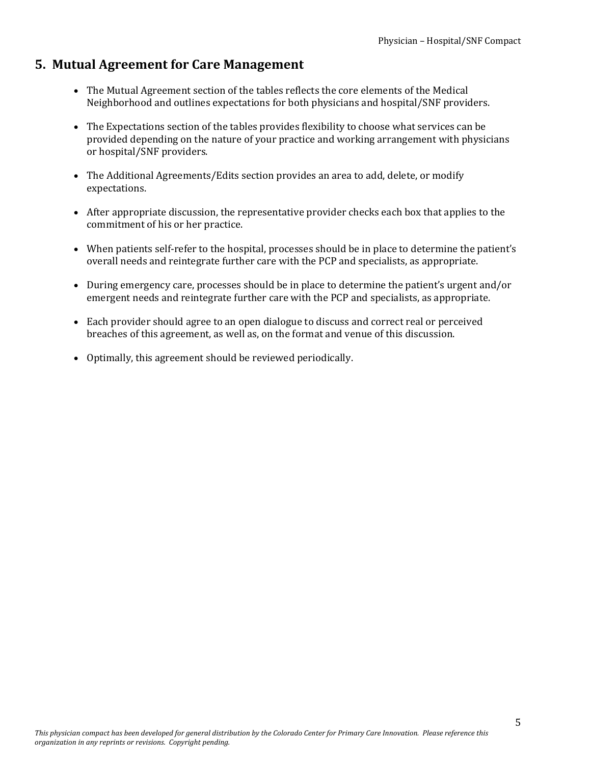### **5. Mutual Agreement for Care Management**

- The Mutual Agreement section of the tables reflects the core elements of the Medical Neighborhood and outlines expectations for both physicians and hospital/SNF providers.
- The Expectations section of the tables provides flexibility to choose what services can be provided depending on the nature of your practice and working arrangement with physicians or hospital/SNF providers.
- The Additional Agreements/Edits section provides an area to add, delete, or modify expectations.
- After appropriate discussion, the representative provider checks each box that applies to the commitment of his or her practice.
- When patients self-refer to the hospital, processes should be in place to determine the patient's overall needs and reintegrate further care with the PCP and specialists, as appropriate.
- During emergency care, processes should be in place to determine the patient's urgent and/or emergent needs and reintegrate further care with the PCP and specialists, as appropriate.
- Each provider should agree to an open dialogue to discuss and correct real or perceived breaches of this agreement, as well as, on the format and venue of this discussion.
- Optimally, this agreement should be reviewed periodically.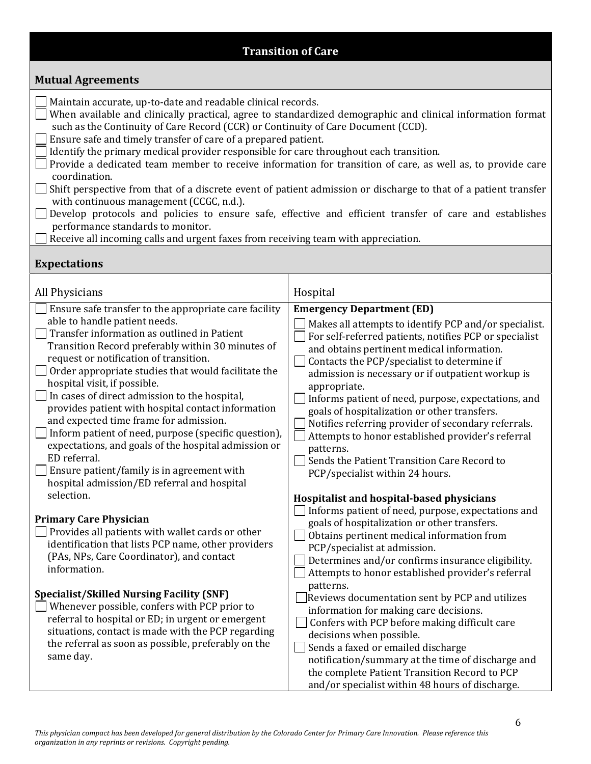### **Transition of Care**

#### **Mutual Agreements**

Maintain accurate, up-to-date and readable clinical records.

 $\Box$  When available and clinically practical, agree to standardized demographic and clinical information format such as the Continuity of Care Record (CCR) or Continuity of Care Document (CCD).

Ensure safe and timely transfer of care of a prepared patient.

Identify the primary medical provider responsible for care throughout each transition.

Provide a dedicated team member to receive information for transition of care, as well as, to provide care coordination.

 Shift perspective from that of a discrete event of patient admission or discharge to that of a patient transfer with continuous management (CCGC, n.d.).

Develop protocols and policies to ensure safe, effective and efficient transfer of care and establishes performance standards to monitor.

 $\Box$  Receive all incoming calls and urgent faxes from receiving team with appreciation.

#### **Expectations**

| All Physicians                                                                                                                                                                                                                                                                                                                                                                                                                                                                                                                                                                                                  | Hospital                                                                                                                                                                                                                                                                                                                                                                                                                                                                                                                                                                                            |
|-----------------------------------------------------------------------------------------------------------------------------------------------------------------------------------------------------------------------------------------------------------------------------------------------------------------------------------------------------------------------------------------------------------------------------------------------------------------------------------------------------------------------------------------------------------------------------------------------------------------|-----------------------------------------------------------------------------------------------------------------------------------------------------------------------------------------------------------------------------------------------------------------------------------------------------------------------------------------------------------------------------------------------------------------------------------------------------------------------------------------------------------------------------------------------------------------------------------------------------|
| Ensure safe transfer to the appropriate care facility                                                                                                                                                                                                                                                                                                                                                                                                                                                                                                                                                           | <b>Emergency Department (ED)</b>                                                                                                                                                                                                                                                                                                                                                                                                                                                                                                                                                                    |
| able to handle patient needs.<br>Transfer information as outlined in Patient<br>Transition Record preferably within 30 minutes of<br>request or notification of transition.<br>$\Box$ Order appropriate studies that would facilitate the<br>hospital visit, if possible.<br>In cases of direct admission to the hospital,<br>provides patient with hospital contact information<br>and expected time frame for admission.<br>Inform patient of need, purpose (specific question),<br>expectations, and goals of the hospital admission or<br>ED referral.<br>$\Box$ Ensure patient/family is in agreement with | Makes all attempts to identify PCP and/or specialist.<br>For self-referred patients, notifies PCP or specialist<br>and obtains pertinent medical information.<br>Contacts the PCP/specialist to determine if<br>admission is necessary or if outpatient workup is<br>appropriate.<br>Informs patient of need, purpose, expectations, and<br>goals of hospitalization or other transfers.<br>Notifies referring provider of secondary referrals.<br>Attempts to honor established provider's referral<br>patterns.<br>Sends the Patient Transition Care Record to<br>PCP/specialist within 24 hours. |
| hospital admission/ED referral and hospital<br>selection.                                                                                                                                                                                                                                                                                                                                                                                                                                                                                                                                                       |                                                                                                                                                                                                                                                                                                                                                                                                                                                                                                                                                                                                     |
| <b>Primary Care Physician</b><br>$\Box$ Provides all patients with wallet cards or other<br>identification that lists PCP name, other providers<br>(PAs, NPs, Care Coordinator), and contact<br>information.                                                                                                                                                                                                                                                                                                                                                                                                    | Hospitalist and hospital-based physicians<br>Informs patient of need, purpose, expectations and<br>goals of hospitalization or other transfers.<br>Obtains pertinent medical information from<br>PCP/specialist at admission.<br>Determines and/or confirms insurance eligibility.<br>Attempts to honor established provider's referral<br>patterns.                                                                                                                                                                                                                                                |
| <b>Specialist/Skilled Nursing Facility (SNF)</b><br>Whenever possible, confers with PCP prior to<br>referral to hospital or ED; in urgent or emergent<br>situations, contact is made with the PCP regarding<br>the referral as soon as possible, preferably on the<br>same day.                                                                                                                                                                                                                                                                                                                                 | Reviews documentation sent by PCP and utilizes<br>information for making care decisions.<br>Confers with PCP before making difficult care<br>decisions when possible.<br>Sends a faxed or emailed discharge<br>notification/summary at the time of discharge and<br>the complete Patient Transition Record to PCP<br>and/or specialist within 48 hours of discharge.                                                                                                                                                                                                                                |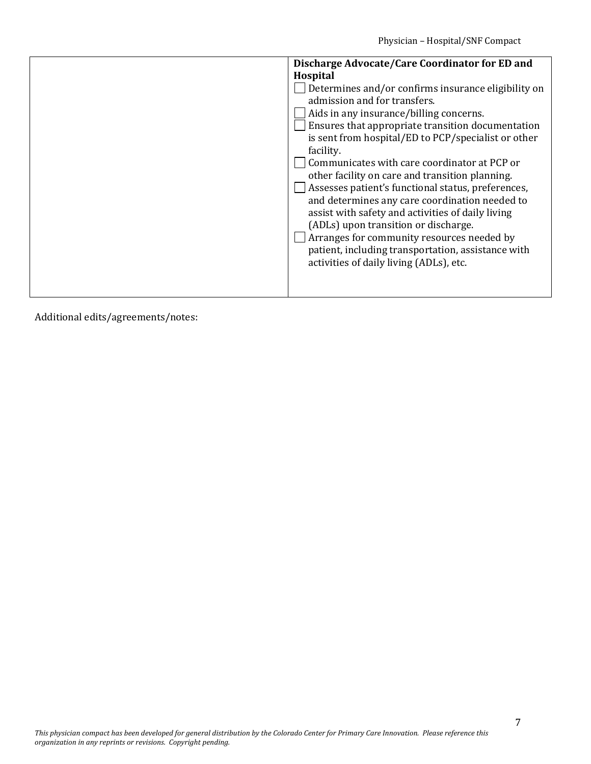| Discharge Advocate/Care Coordinator for ED and                                                                                                                                                                                                                                                                                                                                                      |
|-----------------------------------------------------------------------------------------------------------------------------------------------------------------------------------------------------------------------------------------------------------------------------------------------------------------------------------------------------------------------------------------------------|
| Hospital                                                                                                                                                                                                                                                                                                                                                                                            |
| Determines and/or confirms insurance eligibility on<br>admission and for transfers.<br>Aids in any insurance/billing concerns.<br>Ensures that appropriate transition documentation<br>is sent from hospital/ED to PCP/specialist or other<br>facility.<br>Communicates with care coordinator at PCP or                                                                                             |
| other facility on care and transition planning.<br>Assesses patient's functional status, preferences,<br>and determines any care coordination needed to<br>assist with safety and activities of daily living<br>(ADLs) upon transition or discharge.<br>Arranges for community resources needed by<br>patient, including transportation, assistance with<br>activities of daily living (ADLs), etc. |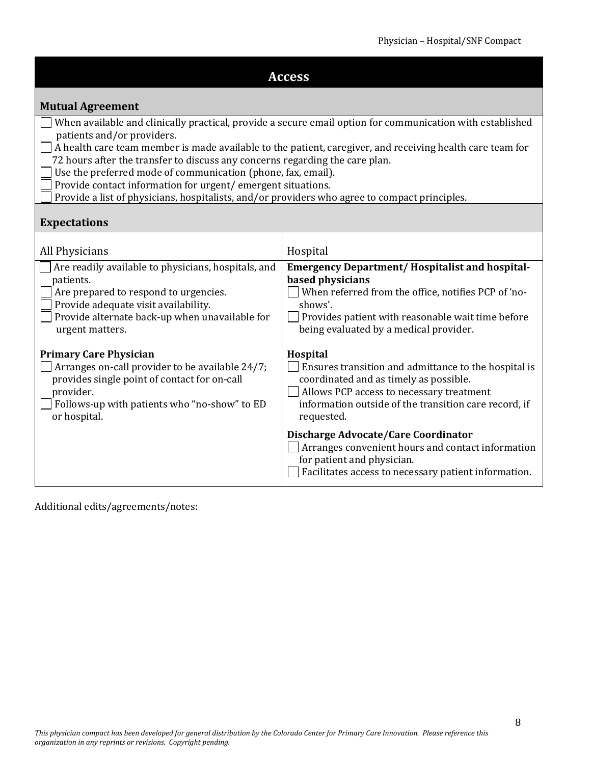| <b>Access</b>                                                                                                                                                                                                                                                                                                                                                                                                                                                                                                                                                               |                                                                                                                                                                                                                                            |  |  |
|-----------------------------------------------------------------------------------------------------------------------------------------------------------------------------------------------------------------------------------------------------------------------------------------------------------------------------------------------------------------------------------------------------------------------------------------------------------------------------------------------------------------------------------------------------------------------------|--------------------------------------------------------------------------------------------------------------------------------------------------------------------------------------------------------------------------------------------|--|--|
| <b>Mutual Agreement</b>                                                                                                                                                                                                                                                                                                                                                                                                                                                                                                                                                     |                                                                                                                                                                                                                                            |  |  |
| When available and clinically practical, provide a secure email option for communication with established<br>patients and/or providers.<br>$\Box$ A health care team member is made available to the patient, caregiver, and receiving health care team for<br>72 hours after the transfer to discuss any concerns regarding the care plan.<br>Use the preferred mode of communication (phone, fax, email).<br>Provide contact information for urgent/emergent situations.<br>Provide a list of physicians, hospitalists, and/or providers who agree to compact principles. |                                                                                                                                                                                                                                            |  |  |
| <b>Expectations</b>                                                                                                                                                                                                                                                                                                                                                                                                                                                                                                                                                         |                                                                                                                                                                                                                                            |  |  |
| All Physicians                                                                                                                                                                                                                                                                                                                                                                                                                                                                                                                                                              | Hospital                                                                                                                                                                                                                                   |  |  |
| Are readily available to physicians, hospitals, and<br>patients.<br>Are prepared to respond to urgencies.<br>Provide adequate visit availability.<br>Provide alternate back-up when unavailable for<br>urgent matters.                                                                                                                                                                                                                                                                                                                                                      | <b>Emergency Department/Hospitalist and hospital-</b><br>based physicians<br>When referred from the office, notifies PCP of 'no-<br>shows'.<br>Provides patient with reasonable wait time before<br>being evaluated by a medical provider. |  |  |
| <b>Primary Care Physician</b><br>Arranges on-call provider to be available 24/7;<br>provides single point of contact for on-call<br>provider.<br>Follows-up with patients who "no-show" to ED<br>or hospital.                                                                                                                                                                                                                                                                                                                                                               | <b>Hospital</b><br>Ensures transition and admittance to the hospital is<br>coordinated and as timely as possible.<br>Allows PCP access to necessary treatment<br>information outside of the transition care record, if<br>requested.       |  |  |
|                                                                                                                                                                                                                                                                                                                                                                                                                                                                                                                                                                             | Discharge Advocate/Care Coordinator<br>Arranges convenient hours and contact information<br>for patient and physician.<br>Facilitates access to necessary patient information.                                                             |  |  |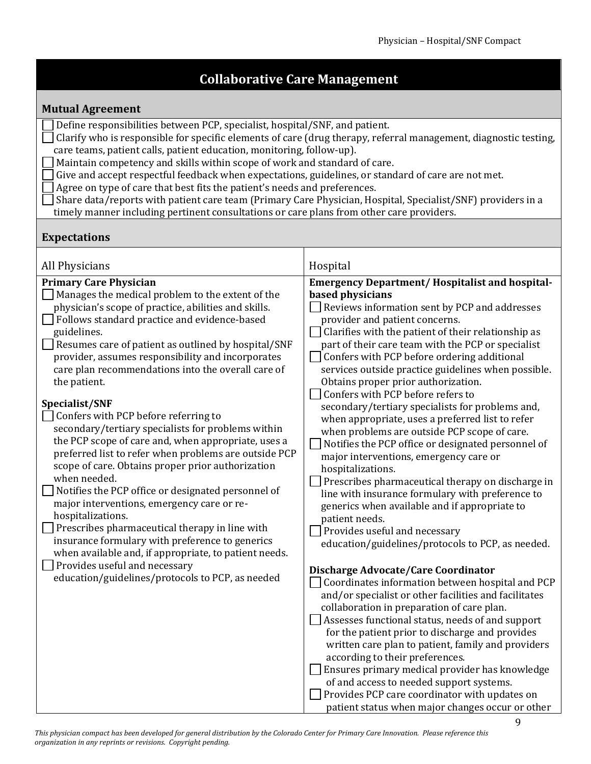# **Collaborative Care Management**

#### **Mutual Agreement**

| Define responsibilities between PCP, specialist, hospital/SNF, and patient.<br>Clarify who is responsible for specific elements of care (drug therapy, referral management, diagnostic testing,<br>care teams, patient calls, patient education, monitoring, follow-up).<br>Maintain competency and skills within scope of work and standard of care.<br>Give and accept respectful feedback when expectations, guidelines, or standard of care are not met.<br>Agree on type of care that best fits the patient's needs and preferences.<br>Share data/reports with patient care team (Primary Care Physician, Hospital, Specialist/SNF) providers in a<br>timely manner including pertinent consultations or care plans from other care providers. |                                                       |  |
|------------------------------------------------------------------------------------------------------------------------------------------------------------------------------------------------------------------------------------------------------------------------------------------------------------------------------------------------------------------------------------------------------------------------------------------------------------------------------------------------------------------------------------------------------------------------------------------------------------------------------------------------------------------------------------------------------------------------------------------------------|-------------------------------------------------------|--|
| <b>Expectations</b>                                                                                                                                                                                                                                                                                                                                                                                                                                                                                                                                                                                                                                                                                                                                  |                                                       |  |
| All Physicians                                                                                                                                                                                                                                                                                                                                                                                                                                                                                                                                                                                                                                                                                                                                       | Hospital                                              |  |
| <b>Primary Care Physician</b>                                                                                                                                                                                                                                                                                                                                                                                                                                                                                                                                                                                                                                                                                                                        | <b>Emergency Department/Hospitalist and hospital-</b> |  |
| Manages the medical problem to the extent of the                                                                                                                                                                                                                                                                                                                                                                                                                                                                                                                                                                                                                                                                                                     | based physicians                                      |  |
| physician's scope of practice, abilities and skills.                                                                                                                                                                                                                                                                                                                                                                                                                                                                                                                                                                                                                                                                                                 | Reviews information sent by PCP and addresses         |  |
| Follows standard practice and evidence-based                                                                                                                                                                                                                                                                                                                                                                                                                                                                                                                                                                                                                                                                                                         | provider and patient concerns.                        |  |
| guidelines.                                                                                                                                                                                                                                                                                                                                                                                                                                                                                                                                                                                                                                                                                                                                          | Clarifies with the patient of their relationship as   |  |
| Resumes care of patient as outlined by hospital/SNF                                                                                                                                                                                                                                                                                                                                                                                                                                                                                                                                                                                                                                                                                                  | part of their care team with the PCP or specialist    |  |
| provider, assumes responsibility and incorporates                                                                                                                                                                                                                                                                                                                                                                                                                                                                                                                                                                                                                                                                                                    | Confers with PCP before ordering additional           |  |
| care plan recommendations into the overall care of                                                                                                                                                                                                                                                                                                                                                                                                                                                                                                                                                                                                                                                                                                   | services outside practice guidelines when possible.   |  |
| the patient.                                                                                                                                                                                                                                                                                                                                                                                                                                                                                                                                                                                                                                                                                                                                         | Obtains proper prior authorization.                   |  |
|                                                                                                                                                                                                                                                                                                                                                                                                                                                                                                                                                                                                                                                                                                                                                      | Confers with PCP before refers to                     |  |
| Specialist/SNF                                                                                                                                                                                                                                                                                                                                                                                                                                                                                                                                                                                                                                                                                                                                       | secondary/tertiary specialists for problems and,      |  |
| Confers with PCP before referring to                                                                                                                                                                                                                                                                                                                                                                                                                                                                                                                                                                                                                                                                                                                 | when appropriate, uses a preferred list to refer      |  |
| secondary/tertiary specialists for problems within                                                                                                                                                                                                                                                                                                                                                                                                                                                                                                                                                                                                                                                                                                   | when problems are outside PCP scope of care.          |  |
| the PCP scope of care and, when appropriate, uses a                                                                                                                                                                                                                                                                                                                                                                                                                                                                                                                                                                                                                                                                                                  | Notifies the PCP office or designated personnel of    |  |
| preferred list to refer when problems are outside PCP                                                                                                                                                                                                                                                                                                                                                                                                                                                                                                                                                                                                                                                                                                | major interventions, emergency care or                |  |
| scope of care. Obtains proper prior authorization                                                                                                                                                                                                                                                                                                                                                                                                                                                                                                                                                                                                                                                                                                    | hospitalizations.                                     |  |
| when needed.                                                                                                                                                                                                                                                                                                                                                                                                                                                                                                                                                                                                                                                                                                                                         | Prescribes pharmaceutical therapy on discharge in     |  |
| Notifies the PCP office or designated personnel of                                                                                                                                                                                                                                                                                                                                                                                                                                                                                                                                                                                                                                                                                                   | line with insurance formulary with preference to      |  |
| major interventions, emergency care or re-                                                                                                                                                                                                                                                                                                                                                                                                                                                                                                                                                                                                                                                                                                           | generics when available and if appropriate to         |  |
| hospitalizations.                                                                                                                                                                                                                                                                                                                                                                                                                                                                                                                                                                                                                                                                                                                                    | patient needs.                                        |  |
| Prescribes pharmaceutical therapy in line with<br>Provides useful and necessary                                                                                                                                                                                                                                                                                                                                                                                                                                                                                                                                                                                                                                                                      |                                                       |  |
| insurance formulary with preference to generics<br>education/guidelines/protocols to PCP, as needed.                                                                                                                                                                                                                                                                                                                                                                                                                                                                                                                                                                                                                                                 |                                                       |  |
| when available and, if appropriate, to patient needs.                                                                                                                                                                                                                                                                                                                                                                                                                                                                                                                                                                                                                                                                                                |                                                       |  |
| Provides useful and necessary                                                                                                                                                                                                                                                                                                                                                                                                                                                                                                                                                                                                                                                                                                                        | Discharge Advocate/Care Coordinator                   |  |
| education/guidelines/protocols to PCP, as needed                                                                                                                                                                                                                                                                                                                                                                                                                                                                                                                                                                                                                                                                                                     | Coordinates information between hospital and PCP      |  |
|                                                                                                                                                                                                                                                                                                                                                                                                                                                                                                                                                                                                                                                                                                                                                      | and/or specialist or other facilities and facilitates |  |
|                                                                                                                                                                                                                                                                                                                                                                                                                                                                                                                                                                                                                                                                                                                                                      | collaboration in preparation of care plan.            |  |
|                                                                                                                                                                                                                                                                                                                                                                                                                                                                                                                                                                                                                                                                                                                                                      | Assesses functional status, needs of and support      |  |
|                                                                                                                                                                                                                                                                                                                                                                                                                                                                                                                                                                                                                                                                                                                                                      | for the patient prior to discharge and provides       |  |
|                                                                                                                                                                                                                                                                                                                                                                                                                                                                                                                                                                                                                                                                                                                                                      | written care plan to patient, family and providers    |  |
|                                                                                                                                                                                                                                                                                                                                                                                                                                                                                                                                                                                                                                                                                                                                                      | according to their preferences.                       |  |
|                                                                                                                                                                                                                                                                                                                                                                                                                                                                                                                                                                                                                                                                                                                                                      | Ensures primary medical provider has knowledge        |  |
|                                                                                                                                                                                                                                                                                                                                                                                                                                                                                                                                                                                                                                                                                                                                                      | of and access to needed support systems.              |  |
|                                                                                                                                                                                                                                                                                                                                                                                                                                                                                                                                                                                                                                                                                                                                                      | Provides PCP care coordinator with updates on         |  |
|                                                                                                                                                                                                                                                                                                                                                                                                                                                                                                                                                                                                                                                                                                                                                      | patient status when major changes occur or other      |  |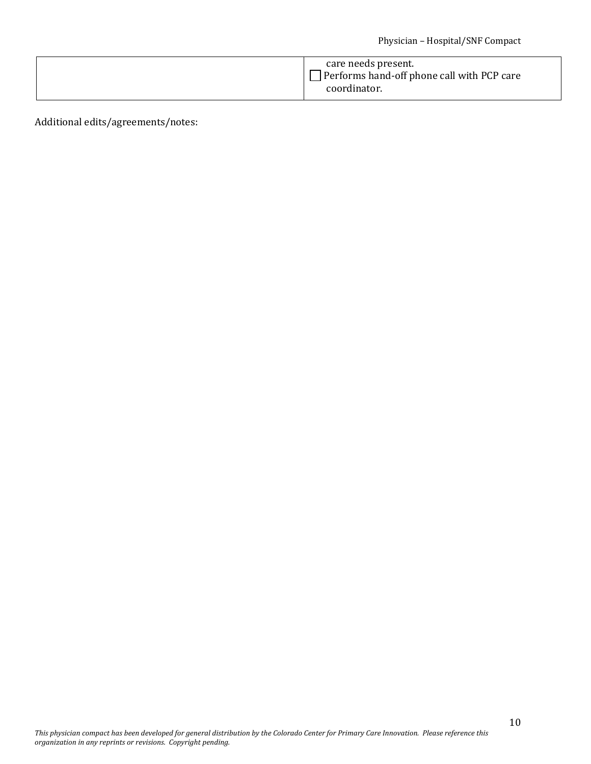| Performs hand-off phone call with PCP care<br>coordinator. |
|------------------------------------------------------------|
|------------------------------------------------------------|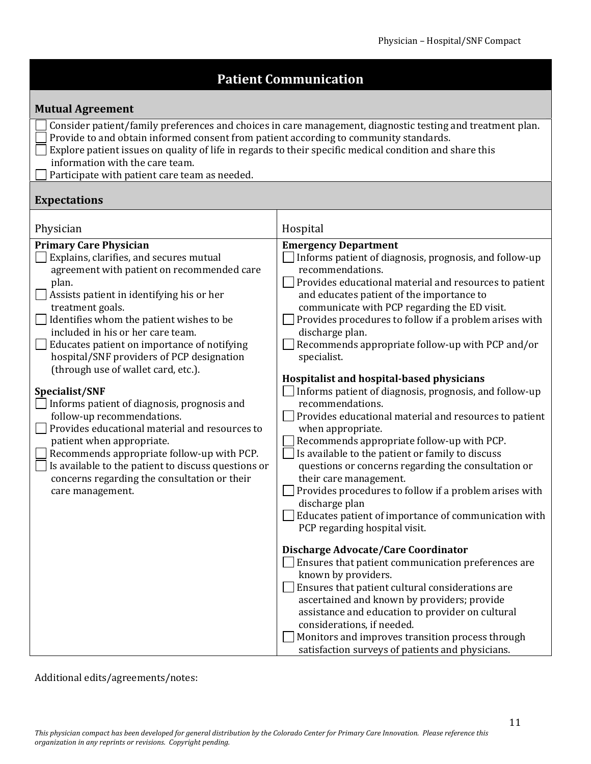# **Patient Communication**

#### **Mutual Agreement**

- Consider patient/family preferences and choices in care management, diagnostic testing and treatment plan.
- Provide to and obtain informed consent from patient according to community standards.
- Explore patient issues on quality of life in regards to their specific medical condition and share this information with the care team.
- $\Box$  Participate with patient care team as needed.

#### **Expectations**

| Physician                                                                                                                                                                                                                                                                                                                                                                                                                                                                                                                                                                                                                                                                                                                                                                   | Hospital                                                                                                                                                                                                                                                                                                                                                                                                                                                                                                                                                                                                                                                                                                                                                                                                                                                                                                                                                                                                                                                                                                                                                                                                                                                                                                                                                                                                   |
|-----------------------------------------------------------------------------------------------------------------------------------------------------------------------------------------------------------------------------------------------------------------------------------------------------------------------------------------------------------------------------------------------------------------------------------------------------------------------------------------------------------------------------------------------------------------------------------------------------------------------------------------------------------------------------------------------------------------------------------------------------------------------------|------------------------------------------------------------------------------------------------------------------------------------------------------------------------------------------------------------------------------------------------------------------------------------------------------------------------------------------------------------------------------------------------------------------------------------------------------------------------------------------------------------------------------------------------------------------------------------------------------------------------------------------------------------------------------------------------------------------------------------------------------------------------------------------------------------------------------------------------------------------------------------------------------------------------------------------------------------------------------------------------------------------------------------------------------------------------------------------------------------------------------------------------------------------------------------------------------------------------------------------------------------------------------------------------------------------------------------------------------------------------------------------------------------|
| <b>Primary Care Physician</b><br>Explains, clarifies, and secures mutual<br>agreement with patient on recommended care<br>plan.<br>Assists patient in identifying his or her<br>treatment goals.<br>Identifies whom the patient wishes to be<br>included in his or her care team.<br>Educates patient on importance of notifying<br>hospital/SNF providers of PCP designation<br>(through use of wallet card, etc.).<br>Specialist/SNF<br>Informs patient of diagnosis, prognosis and<br>follow-up recommendations.<br>Provides educational material and resources to<br>patient when appropriate.<br>Recommends appropriate follow-up with PCP.<br>Is available to the patient to discuss questions or<br>concerns regarding the consultation or their<br>care management. | <b>Emergency Department</b><br>Informs patient of diagnosis, prognosis, and follow-up<br>recommendations.<br>Provides educational material and resources to patient<br>and educates patient of the importance to<br>communicate with PCP regarding the ED visit.<br>Provides procedures to follow if a problem arises with<br>discharge plan.<br>Recommends appropriate follow-up with PCP and/or<br>specialist.<br>Hospitalist and hospital-based physicians<br>Informs patient of diagnosis, prognosis, and follow-up<br>recommendations.<br>Provides educational material and resources to patient<br>when appropriate.<br>Recommends appropriate follow-up with PCP.<br>Is available to the patient or family to discuss<br>questions or concerns regarding the consultation or<br>their care management.<br>Provides procedures to follow if a problem arises with<br>discharge plan<br>Educates patient of importance of communication with<br>PCP regarding hospital visit.<br>Discharge Advocate/Care Coordinator<br>$\Box$ Ensures that patient communication preferences are<br>known by providers.<br>Ensures that patient cultural considerations are<br>ascertained and known by providers; provide<br>assistance and education to provider on cultural<br>considerations, if needed.<br>Monitors and improves transition process through<br>satisfaction surveys of patients and physicians. |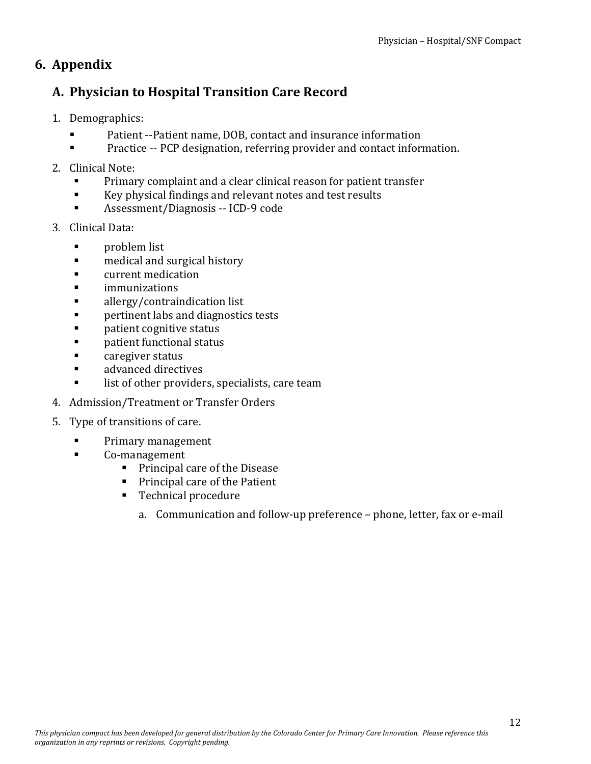# **6. Appendix**

## **A. Physician to Hospital Transition Care Record**

- 1. Demographics:
	- Patient ‐‐Patient name, DOB, contact and insurance information
	- Practice -- PCP designation, referring provider and contact information.
- 2. Clinical Note:
	- Primary complaint and a clear clinical reason for patient transfer
	- Key physical findings and relevant notes and test results
	- Assessment/Diagnosis -- ICD-9 code
- 3. Clinical Data:
	- **n** problem list
	- **medical and surgical history**
	- **Example 1** current medication
	- **ulle** immunizations
	- **allergy/contraindication list**
	- **Pertinent labs and diagnostics tests**
	- patient cognitive status
	- **Example 1 patient functional status**
	- **Example 21 Server Status**
	- **Example 2** advanced directives
	- **If the list of other providers, specialists, care team**
- 4. Admission/Treatment or Transfer Orders
- 5. Type of transitions of care.
	- Primary management
	- Co-management
		- **Principal care of the Disease**
		- **Principal care of the Patient**
		- Technical procedure
			- a. Communication and follow‐up preference phone, letter, fax or e‐mail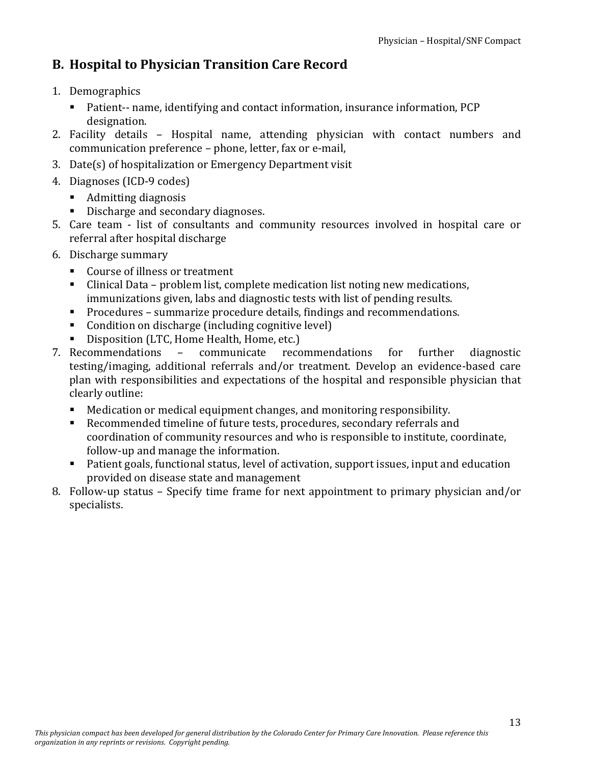# **B. Hospital to Physician Transition Care Record**

- 1. Demographics
	- Patient-- name, identifying and contact information, insurance information, PCP designation.
- 2. Facility details Hospital name, attending physician with contact numbers and communication preference – phone, letter, fax or e‐mail,
- 3. Date(s) of hospitalization or Emergency Department visit
- 4. Diagnoses (ICD‐9 codes)
	- Admitting diagnosis
	- Discharge and secondary diagnoses.
- 5. Care team ‐ list of consultants and community resources involved in hospital care or referral after hospital discharge
- 6. Discharge summary
	- Course of illness or treatment
	- Clinical Data problem list, complete medication list noting new medications, immunizations given, labs and diagnostic tests with list of pending results.
	- **Procedures summarize procedure details, findings and recommendations.**
	- Condition on discharge (including cognitive level)
	- Disposition (LTC, Home Health, Home, etc.)
- 7. Recommendations communicate recommendations for further diagnostic testing/imaging, additional referrals and/or treatment. Develop an evidence-based care plan with responsibilities and expectations of the hospital and responsible physician that clearly outline:
	- Medication or medical equipment changes, and monitoring responsibility.
	- Recommended timeline of future tests, procedures, secondary referrals and coordination of community resources and who is responsible to institute, coordinate, follow‐up and manage the information.
	- Patient goals, functional status, level of activation, support issues, input and education provided on disease state and management
- 8. Follow-up status Specify time frame for next appointment to primary physician and/or specialists.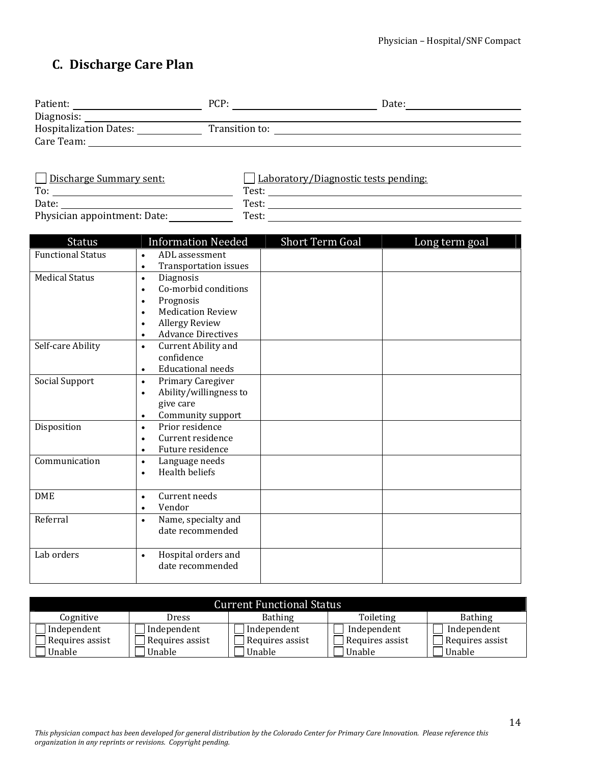# **C. Discharge Care Plan**

| Patient:                      | PCP:           | Date: |
|-------------------------------|----------------|-------|
| Diagnosis:                    |                |       |
| <b>Hospitalization Dates:</b> | Transition to: |       |
| Care Team:                    |                |       |
|                               |                |       |

| Discharge Summary sent:      | Laboratory/Diagnostic tests pending: |
|------------------------------|--------------------------------------|
| To:                          | Test:                                |
| Date:                        | Test:                                |
| Physician appointment: Date: | Test:                                |

| <b>Status</b>            | <b>Information Needed</b>                 | <b>Short Term Goal</b> | Long term goal |
|--------------------------|-------------------------------------------|------------------------|----------------|
| <b>Functional Status</b> | ADL assessment<br>$\bullet$               |                        |                |
|                          | <b>Transportation issues</b><br>$\bullet$ |                        |                |
| <b>Medical Status</b>    | Diagnosis<br>$\bullet$                    |                        |                |
|                          | Co-morbid conditions<br>$\bullet$         |                        |                |
|                          | Prognosis<br>$\bullet$                    |                        |                |
|                          | <b>Medication Review</b><br>$\bullet$     |                        |                |
|                          | <b>Allergy Review</b><br>$\bullet$        |                        |                |
|                          | <b>Advance Directives</b><br>$\bullet$    |                        |                |
| Self-care Ability        | Current Ability and<br>$\bullet$          |                        |                |
|                          | confidence                                |                        |                |
|                          | <b>Educational needs</b><br>$\bullet$     |                        |                |
| Social Support           | Primary Caregiver<br>$\bullet$            |                        |                |
|                          | Ability/willingness to<br>$\bullet$       |                        |                |
|                          | give care                                 |                        |                |
|                          | Community support<br>$\bullet$            |                        |                |
| Disposition              | Prior residence<br>$\bullet$              |                        |                |
|                          | Current residence<br>$\bullet$            |                        |                |
|                          | Future residence<br>$\bullet$             |                        |                |
| Communication            | Language needs<br>$\bullet$               |                        |                |
|                          | <b>Health beliefs</b><br>$\bullet$        |                        |                |
|                          |                                           |                        |                |
| <b>DME</b>               | Current needs<br>$\bullet$                |                        |                |
|                          | Vendor<br>$\bullet$                       |                        |                |
| Referral                 | Name, specialty and<br>$\bullet$          |                        |                |
|                          | date recommended                          |                        |                |
|                          |                                           |                        |                |
| Lab orders               | Hospital orders and<br>$\bullet$          |                        |                |
|                          | date recommended                          |                        |                |
|                          |                                           |                        |                |

| <b>Current Functional Status</b>                                    |                 |                 |                 |                 |
|---------------------------------------------------------------------|-----------------|-----------------|-----------------|-----------------|
| Toileting<br>Bathing<br><b>Bathing</b><br>Cognitive<br><b>Dress</b> |                 |                 |                 |                 |
| Independent                                                         | Independent     | Independent     | Independent     | Independent     |
| Requires assist                                                     | Requires assist | Requires assist | Requires assist | Requires assist |
| Unable                                                              | Unable          | Unable          | Unable          | Unable          |